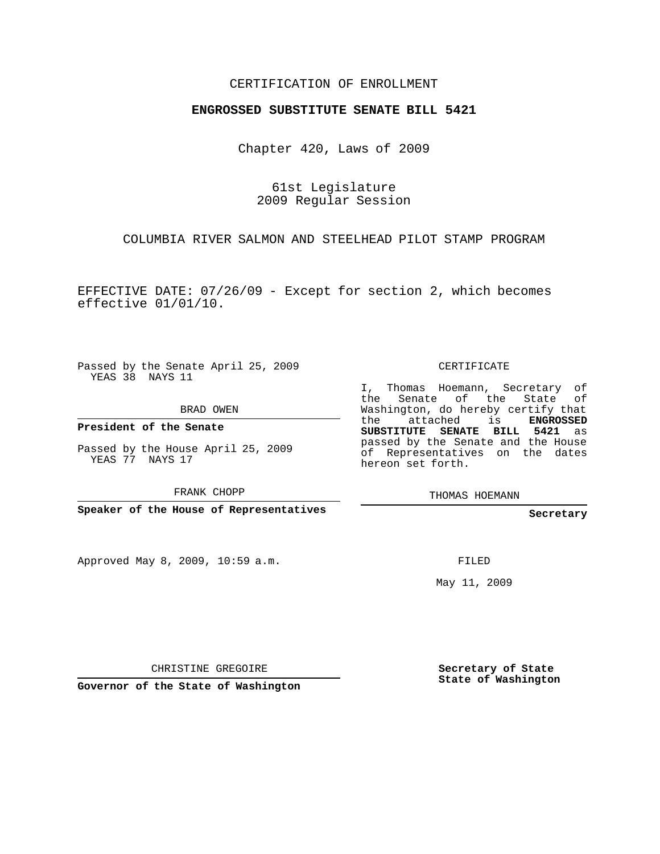## CERTIFICATION OF ENROLLMENT

## **ENGROSSED SUBSTITUTE SENATE BILL 5421**

Chapter 420, Laws of 2009

61st Legislature 2009 Regular Session

COLUMBIA RIVER SALMON AND STEELHEAD PILOT STAMP PROGRAM

EFFECTIVE DATE: 07/26/09 - Except for section 2, which becomes effective 01/01/10.

Passed by the Senate April 25, 2009 YEAS 38 NAYS 11

BRAD OWEN

**President of the Senate**

Passed by the House April 25, 2009 YEAS 77 NAYS 17

FRANK CHOPP

**Speaker of the House of Representatives**

Approved May 8, 2009, 10:59 a.m.

CERTIFICATE

I, Thomas Hoemann, Secretary of the Senate of the State of Washington, do hereby certify that the attached is **ENGROSSED SUBSTITUTE SENATE BILL 5421** as passed by the Senate and the House of Representatives on the dates hereon set forth.

THOMAS HOEMANN

**Secretary**

FILED

May 11, 2009

CHRISTINE GREGOIRE

**Governor of the State of Washington**

**Secretary of State State of Washington**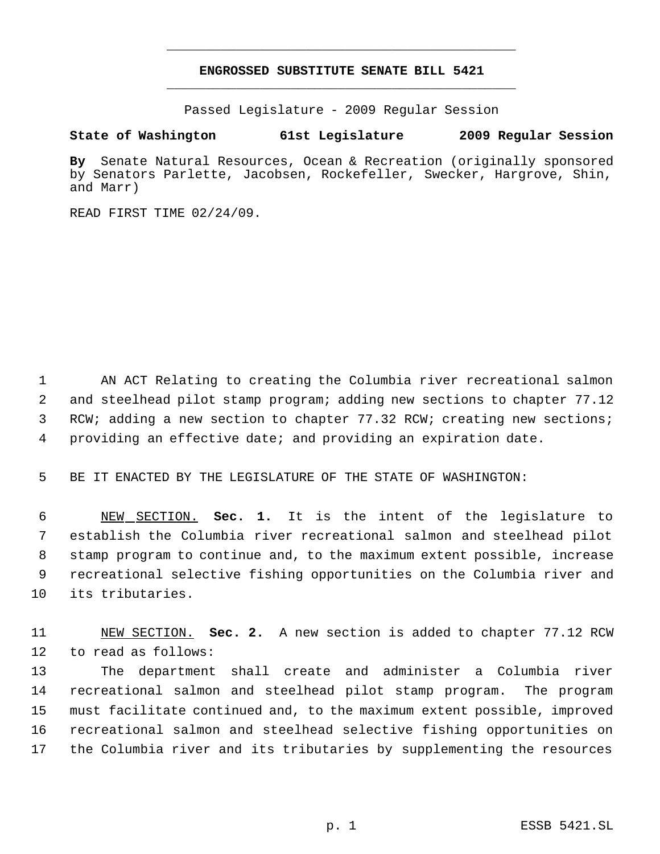## **ENGROSSED SUBSTITUTE SENATE BILL 5421** \_\_\_\_\_\_\_\_\_\_\_\_\_\_\_\_\_\_\_\_\_\_\_\_\_\_\_\_\_\_\_\_\_\_\_\_\_\_\_\_\_\_\_\_\_

\_\_\_\_\_\_\_\_\_\_\_\_\_\_\_\_\_\_\_\_\_\_\_\_\_\_\_\_\_\_\_\_\_\_\_\_\_\_\_\_\_\_\_\_\_

Passed Legislature - 2009 Regular Session

## **State of Washington 61st Legislature 2009 Regular Session**

**By** Senate Natural Resources, Ocean & Recreation (originally sponsored by Senators Parlette, Jacobsen, Rockefeller, Swecker, Hargrove, Shin, and Marr)

READ FIRST TIME 02/24/09.

 AN ACT Relating to creating the Columbia river recreational salmon and steelhead pilot stamp program; adding new sections to chapter 77.12 3 RCW; adding a new section to chapter 77.32 RCW; creating new sections; providing an effective date; and providing an expiration date.

5 BE IT ENACTED BY THE LEGISLATURE OF THE STATE OF WASHINGTON:

 NEW SECTION. **Sec. 1.** It is the intent of the legislature to establish the Columbia river recreational salmon and steelhead pilot stamp program to continue and, to the maximum extent possible, increase recreational selective fishing opportunities on the Columbia river and its tributaries.

11 NEW SECTION. **Sec. 2.** A new section is added to chapter 77.12 RCW 12 to read as follows:

 The department shall create and administer a Columbia river recreational salmon and steelhead pilot stamp program. The program must facilitate continued and, to the maximum extent possible, improved recreational salmon and steelhead selective fishing opportunities on the Columbia river and its tributaries by supplementing the resources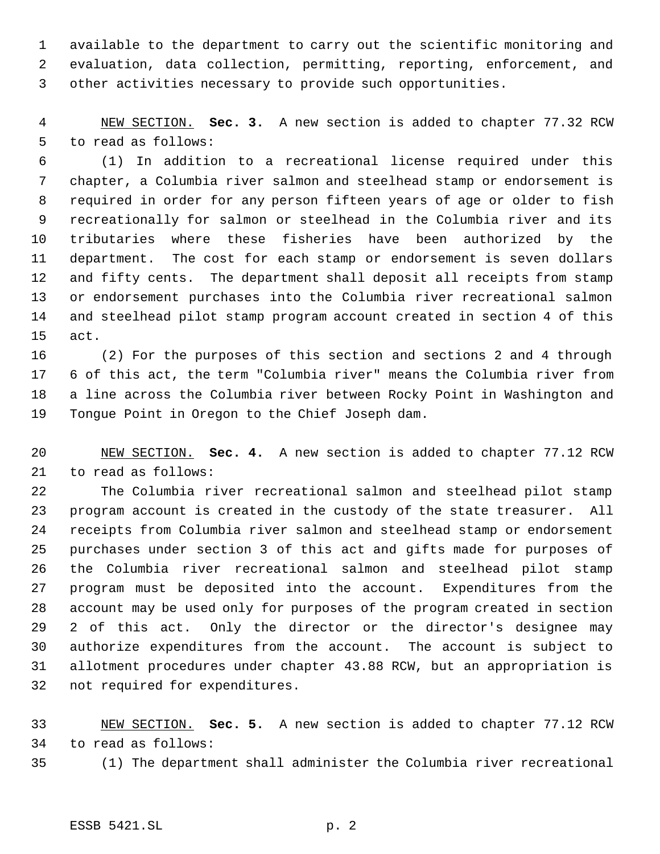available to the department to carry out the scientific monitoring and evaluation, data collection, permitting, reporting, enforcement, and other activities necessary to provide such opportunities.

 NEW SECTION. **Sec. 3.** A new section is added to chapter 77.32 RCW to read as follows:

 (1) In addition to a recreational license required under this chapter, a Columbia river salmon and steelhead stamp or endorsement is required in order for any person fifteen years of age or older to fish recreationally for salmon or steelhead in the Columbia river and its tributaries where these fisheries have been authorized by the department. The cost for each stamp or endorsement is seven dollars and fifty cents. The department shall deposit all receipts from stamp or endorsement purchases into the Columbia river recreational salmon and steelhead pilot stamp program account created in section 4 of this act.

 (2) For the purposes of this section and sections 2 and 4 through 6 of this act, the term "Columbia river" means the Columbia river from a line across the Columbia river between Rocky Point in Washington and Tongue Point in Oregon to the Chief Joseph dam.

 NEW SECTION. **Sec. 4.** A new section is added to chapter 77.12 RCW to read as follows:

 The Columbia river recreational salmon and steelhead pilot stamp program account is created in the custody of the state treasurer. All receipts from Columbia river salmon and steelhead stamp or endorsement purchases under section 3 of this act and gifts made for purposes of the Columbia river recreational salmon and steelhead pilot stamp program must be deposited into the account. Expenditures from the account may be used only for purposes of the program created in section 2 of this act. Only the director or the director's designee may authorize expenditures from the account. The account is subject to allotment procedures under chapter 43.88 RCW, but an appropriation is not required for expenditures.

 NEW SECTION. **Sec. 5.** A new section is added to chapter 77.12 RCW to read as follows:

(1) The department shall administer the Columbia river recreational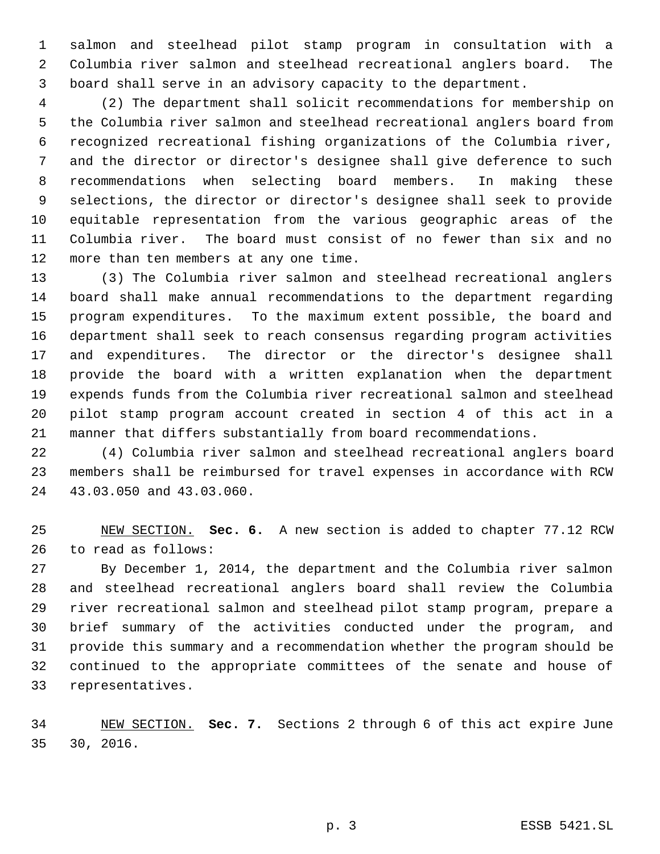salmon and steelhead pilot stamp program in consultation with a Columbia river salmon and steelhead recreational anglers board. The board shall serve in an advisory capacity to the department.

 (2) The department shall solicit recommendations for membership on the Columbia river salmon and steelhead recreational anglers board from recognized recreational fishing organizations of the Columbia river, and the director or director's designee shall give deference to such recommendations when selecting board members. In making these selections, the director or director's designee shall seek to provide equitable representation from the various geographic areas of the Columbia river. The board must consist of no fewer than six and no more than ten members at any one time.

 (3) The Columbia river salmon and steelhead recreational anglers board shall make annual recommendations to the department regarding program expenditures. To the maximum extent possible, the board and department shall seek to reach consensus regarding program activities and expenditures. The director or the director's designee shall provide the board with a written explanation when the department expends funds from the Columbia river recreational salmon and steelhead pilot stamp program account created in section 4 of this act in a manner that differs substantially from board recommendations.

 (4) Columbia river salmon and steelhead recreational anglers board members shall be reimbursed for travel expenses in accordance with RCW 43.03.050 and 43.03.060.

 NEW SECTION. **Sec. 6.** A new section is added to chapter 77.12 RCW to read as follows:

 By December 1, 2014, the department and the Columbia river salmon and steelhead recreational anglers board shall review the Columbia river recreational salmon and steelhead pilot stamp program, prepare a brief summary of the activities conducted under the program, and provide this summary and a recommendation whether the program should be continued to the appropriate committees of the senate and house of representatives.

 NEW SECTION. **Sec. 7.** Sections 2 through 6 of this act expire June 30, 2016.